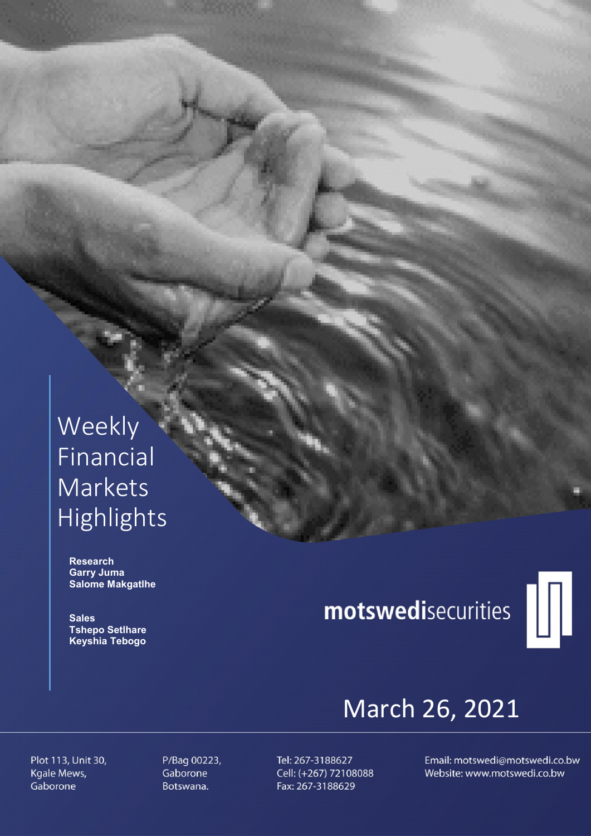# Weekly Financial Markets Highlights

 Research Garry Juma Salome Makgatlhe

**Sales**  Tshepo Setlhare Keyshia Tebogo

# motswedisecurities



# March 26, 2021

Plot 113, Unit 30, Kgale Mews, Gaborone

P/Bag 00223, Gaborone Botswana.

Tel: 267-3188627 Cell: (+267) 72108088 Fax: 267-3188629

Email: motswedi@motswedi.co.bw Website: www.motswedi.co.bw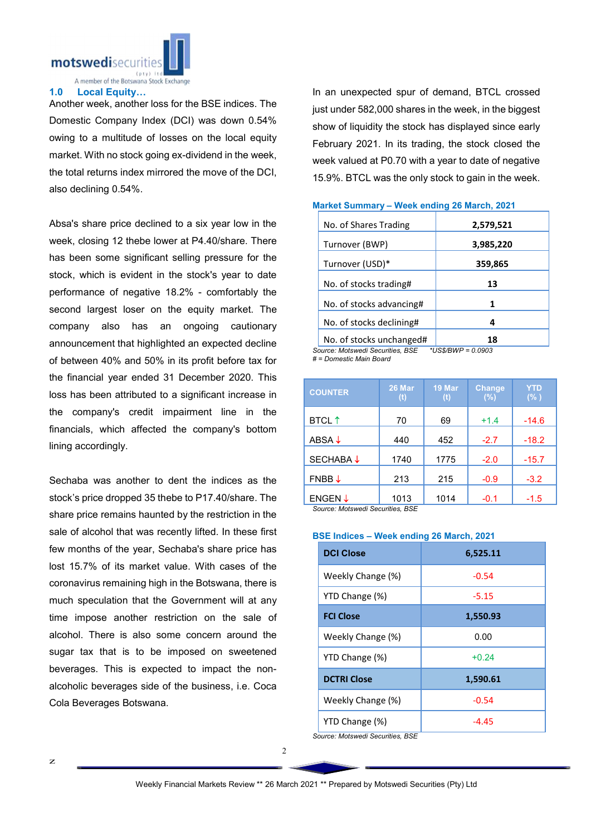

A member of the Botswana Stock Exchange

# 1.0 Local Equity…

Another week, another loss for the BSE indices. The Domestic Company Index (DCI) was down 0.54% owing to a multitude of losses on the local equity market. With no stock going ex-dividend in the week, the total returns index mirrored the move of the DCI, also declining 0.54%.

Absa's share price declined to a six year low in the week, closing 12 thebe lower at P4.40/share. There has been some significant selling pressure for the stock, which is evident in the stock's year to date performance of negative 18.2% - comfortably the second largest loser on the equity market. The company also has an ongoing cautionary announcement that highlighted an expected decline of between 40% and 50% in its profit before tax for the financial year ended 31 December 2020. This loss has been attributed to a significant increase in the company's credit impairment line in the financials, which affected the company's bottom lining accordingly.

Sechaba was another to dent the indices as the stock's price dropped 35 thebe to P17.40/share. The share price remains haunted by the restriction in the sale of alcohol that was recently lifted. In these first few months of the year, Sechaba's share price has lost 15.7% of its market value. With cases of the coronavirus remaining high in the Botswana, there is much speculation that the Government will at any time impose another restriction on the sale of alcohol. There is also some concern around the sugar tax that is to be imposed on sweetened beverages. This is expected to impact the nonalcoholic beverages side of the business, i.e. Coca Cola Beverages Botswana.

In an unexpected spur of demand, BTCL crossed just under 582,000 shares in the week, in the biggest show of liquidity the stock has displayed since early February 2021. In its trading, the stock closed the week valued at P0.70 with a year to date of negative 15.9%. BTCL was the only stock to gain in the week.

| 2,579,521             |
|-----------------------|
| 3,985,220             |
| 359,865               |
| 13                    |
| 1                     |
| 4                     |
| 18                    |
| *I IS&/RIA/D = N NQN? |

## Market Summary – Week ending 26 March, 2021

*Source: Motswedi Securities, BSE \*US\$/BWP = 0.0903 # = Domestic Main Board*

| <b>COUNTER</b>           | 26 Mar<br>(t) | 19 Mar<br>(t) | <b>Change</b><br>(%) | YTD<br>(% ) |
|--------------------------|---------------|---------------|----------------------|-------------|
| <b>BTCL</b> <sup>↑</sup> | 70            | 69            | $+1.4$               | $-14.6$     |
| ABSA $\downarrow$        | 440           | 452           | $-2.7$               | $-18.2$     |
| <b>SECHABA↓</b>          | 1740          | 1775          | $-2.0$               | $-15.7$     |
| $FNBB \downarrow$        | 213           | 215           | $-0.9$               | $-3.2$      |
| ENGEN $\downarrow$       | 1013          | 1014          | $-0.1$               | $-1.5$      |

*Source: Motswedi Securities, BSE* 

### BSE Indices – Week ending 26 March, 2021

| <b>DCI Close</b>   | 6,525.11 |
|--------------------|----------|
| Weekly Change (%)  | $-0.54$  |
| YTD Change (%)     | $-5.15$  |
| <b>FCI Close</b>   | 1,550.93 |
| Weekly Change (%)  | 0.00     |
| YTD Change (%)     | $+0.24$  |
| <b>DCTRI Close</b> | 1,590.61 |
| Weekly Change (%)  | $-0.54$  |
| YTD Change (%)     | $-4.45$  |

*Source: Motswedi Securities, BSE*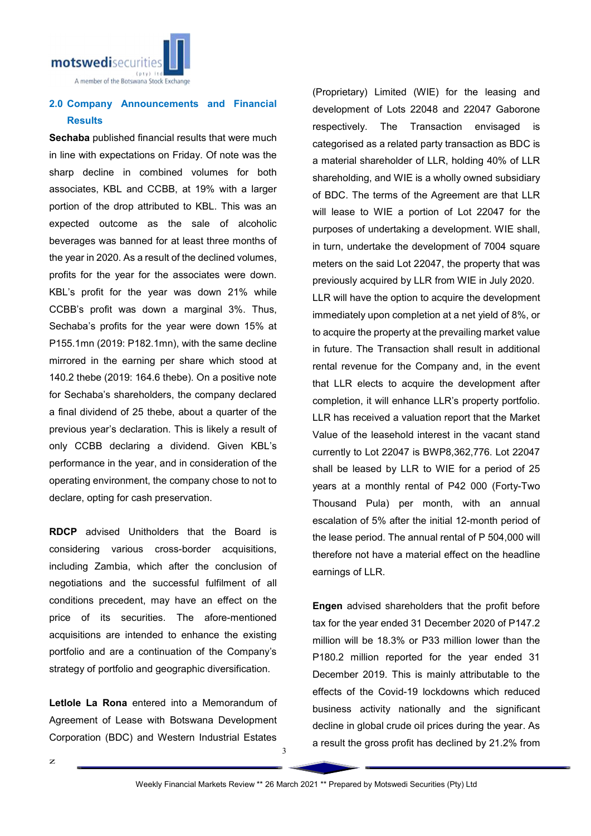

# 2.0 Company Announcements and Financial **Results**

Sechaba published financial results that were much in line with expectations on Friday. Of note was the sharp decline in combined volumes for both associates, KBL and CCBB, at 19% with a larger portion of the drop attributed to KBL. This was an expected outcome as the sale of alcoholic beverages was banned for at least three months of the year in 2020. As a result of the declined volumes, profits for the year for the associates were down. KBL's profit for the year was down 21% while CCBB's profit was down a marginal 3%. Thus, Sechaba's profits for the year were down 15% at P155.1mn (2019: P182.1mn), with the same decline mirrored in the earning per share which stood at 140.2 thebe (2019: 164.6 thebe). On a positive note for Sechaba's shareholders, the company declared a final dividend of 25 thebe, about a quarter of the previous year's declaration. This is likely a result of only CCBB declaring a dividend. Given KBL's performance in the year, and in consideration of the operating environment, the company chose to not to declare, opting for cash preservation.

RDCP advised Unitholders that the Board is considering various cross-border acquisitions, including Zambia, which after the conclusion of negotiations and the successful fulfilment of all conditions precedent, may have an effect on the price of its securities. The afore-mentioned acquisitions are intended to enhance the existing portfolio and are a continuation of the Company's strategy of portfolio and geographic diversification.

Letlole La Rona entered into a Memorandum of Agreement of Lease with Botswana Development Corporation (BDC) and Western Industrial Estates

(Proprietary) Limited (WIE) for the leasing and development of Lots 22048 and 22047 Gaborone respectively. The Transaction envisaged is categorised as a related party transaction as BDC is a material shareholder of LLR, holding 40% of LLR shareholding, and WIE is a wholly owned subsidiary of BDC. The terms of the Agreement are that LLR will lease to WIE a portion of Lot 22047 for the purposes of undertaking a development. WIE shall, in turn, undertake the development of 7004 square meters on the said Lot 22047, the property that was previously acquired by LLR from WIE in July 2020. LLR will have the option to acquire the development immediately upon completion at a net yield of 8%, or to acquire the property at the prevailing market value in future. The Transaction shall result in additional rental revenue for the Company and, in the event that LLR elects to acquire the development after completion, it will enhance LLR's property portfolio. LLR has received a valuation report that the Market Value of the leasehold interest in the vacant stand currently to Lot 22047 is BWP8,362,776. Lot 22047 shall be leased by LLR to WIE for a period of 25 years at a monthly rental of P42 000 (Forty-Two Thousand Pula) per month, with an annual escalation of 5% after the initial 12-month period of the lease period. The annual rental of P 504,000 will

Engen advised shareholders that the profit before tax for the year ended 31 December 2020 of P147.2 million will be 18.3% or P33 million lower than the P180.2 million reported for the year ended 31 December 2019. This is mainly attributable to the effects of the Covid-19 lockdowns which reduced business activity nationally and the significant decline in global crude oil prices during the year. As a result the gross profit has declined by 21.2% from

therefore not have a material effect on the headline

earnings of LLR.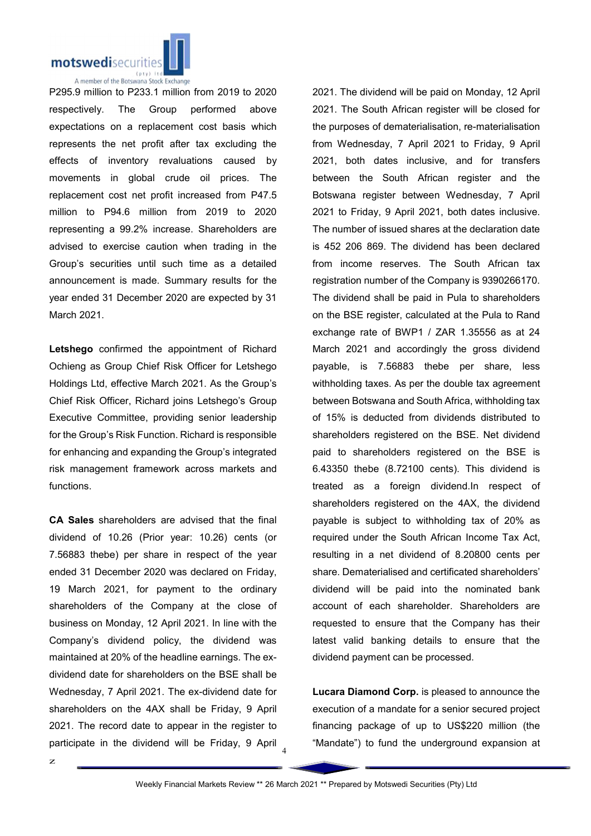

P295.9 million to P233.1 million from 2019 to 2020 respectively. The Group performed above expectations on a replacement cost basis which represents the net profit after tax excluding the effects of inventory revaluations caused by movements in global crude oil prices. The replacement cost net profit increased from P47.5 million to P94.6 million from 2019 to 2020 representing a 99.2% increase. Shareholders are advised to exercise caution when trading in the Group's securities until such time as a detailed announcement is made. Summary results for the year ended 31 December 2020 are expected by 31 March 2021.

Letshego confirmed the appointment of Richard Ochieng as Group Chief Risk Officer for Letshego Holdings Ltd, effective March 2021. As the Group's Chief Risk Officer, Richard joins Letshego's Group Executive Committee, providing senior leadership for the Group's Risk Function. Richard is responsible for enhancing and expanding the Group's integrated risk management framework across markets and functions.

participate in the dividend will be Friday, 9 April  $_4$ CA Sales shareholders are advised that the final dividend of 10.26 (Prior year: 10.26) cents (or 7.56883 thebe) per share in respect of the year ended 31 December 2020 was declared on Friday, 19 March 2021, for payment to the ordinary shareholders of the Company at the close of business on Monday, 12 April 2021. In line with the Company's dividend policy, the dividend was maintained at 20% of the headline earnings. The exdividend date for shareholders on the BSE shall be Wednesday, 7 April 2021. The ex-dividend date for shareholders on the 4AX shall be Friday, 9 April 2021. The record date to appear in the register to

2021. The dividend will be paid on Monday, 12 April 2021. The South African register will be closed for the purposes of dematerialisation, re-materialisation from Wednesday, 7 April 2021 to Friday, 9 April 2021, both dates inclusive, and for transfers between the South African register and the Botswana register between Wednesday, 7 April 2021 to Friday, 9 April 2021, both dates inclusive. The number of issued shares at the declaration date is 452 206 869. The dividend has been declared from income reserves. The South African tax registration number of the Company is 9390266170. The dividend shall be paid in Pula to shareholders on the BSE register, calculated at the Pula to Rand exchange rate of BWP1 / ZAR 1.35556 as at 24 March 2021 and accordingly the gross dividend payable, is 7.56883 thebe per share, less withholding taxes. As per the double tax agreement between Botswana and South Africa, withholding tax of 15% is deducted from dividends distributed to shareholders registered on the BSE. Net dividend paid to shareholders registered on the BSE is 6.43350 thebe (8.72100 cents). This dividend is treated as a foreign dividend.In respect of shareholders registered on the 4AX, the dividend payable is subject to withholding tax of 20% as required under the South African Income Tax Act, resulting in a net dividend of 8.20800 cents per share. Dematerialised and certificated shareholders' dividend will be paid into the nominated bank account of each shareholder. Shareholders are requested to ensure that the Company has their latest valid banking details to ensure that the dividend payment can be processed.

Lucara Diamond Corp. is pleased to announce the execution of a mandate for a senior secured project financing package of up to US\$220 million (the "Mandate") to fund the underground expansion at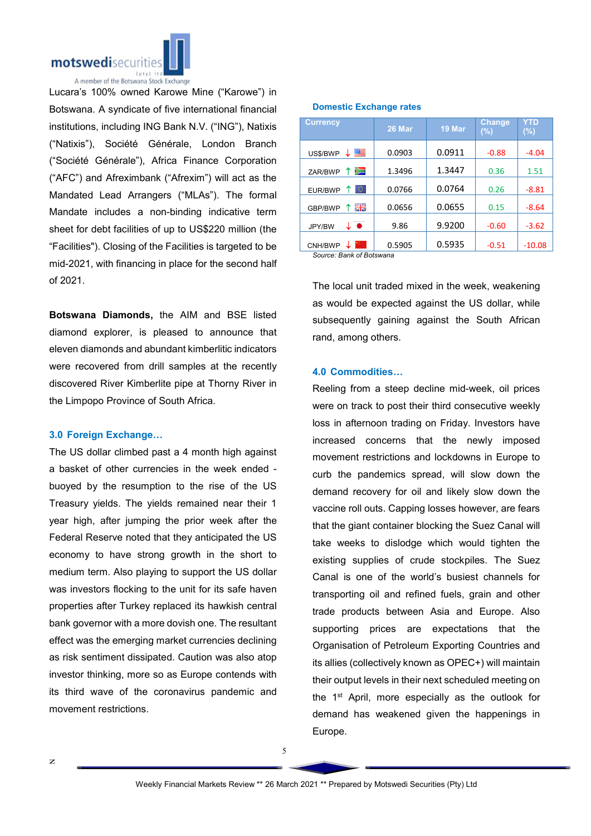

Lucara's 100% owned Karowe Mine ("Karowe") in Botswana. A syndicate of five international financial institutions, including ING Bank N.V. ("ING"), Natixis ("Natixis"), Société Générale, London Branch ("Société Générale"), Africa Finance Corporation ("AFC") and Afreximbank ("Afrexim") will act as the Mandated Lead Arrangers ("MLAs"). The formal Mandate includes a non-binding indicative term sheet for debt facilities of up to US\$220 million (the "Facilities"). Closing of the Facilities is targeted to be mid-2021, with financing in place for the second half of 2021.

Botswana Diamonds, the AIM and BSE listed diamond explorer, is pleased to announce that eleven diamonds and abundant kimberlitic indicators were recovered from drill samples at the recently discovered River Kimberlite pipe at Thorny River in the Limpopo Province of South Africa.

# 3.0 Foreign Exchange…

The US dollar climbed past a 4 month high against a basket of other currencies in the week ended buoyed by the resumption to the rise of the US Treasury yields. The yields remained near their 1 year high, after jumping the prior week after the Federal Reserve noted that they anticipated the US economy to have strong growth in the short to medium term. Also playing to support the US dollar was investors flocking to the unit for its safe haven properties after Turkey replaced its hawkish central bank governor with a more dovish one. The resultant effect was the emerging market currencies declining as risk sentiment dissipated. Caution was also atop investor thinking, more so as Europe contends with its third wave of the coronavirus pandemic and movement restrictions.

| <b>Currency</b>          | 26 Mar | 19 Mar | <b>Change</b><br>(%) | YTD<br>$(\%)$ |  |  |
|--------------------------|--------|--------|----------------------|---------------|--|--|
| US\$/BWP                 | 0.0903 | 0.0911 | $-0.88$              | $-4.04$       |  |  |
| 个妇<br>ZAR/BWP            | 1.3496 | 1.3447 | 0.36                 | 1.51          |  |  |
| lo.<br>EUR/BWP           | 0.0766 | 0.0764 | 0.26                 | $-8.81$       |  |  |
| 꾉똟<br>GBP/BWP            | 0.0656 | 0.0655 | 0.15                 | $-8.64$       |  |  |
| ↓●<br>JPY/BW             | 9.86   | 9.9200 | $-0.60$              | $-3.62$       |  |  |
| CNH/BWP                  | 0.5905 | 0.5935 | $-0.51$              | $-10.08$      |  |  |
| Source: Bank of Botswana |        |        |                      |               |  |  |

# Domestic Exchange rates

The local unit traded mixed in the week, weakening as would be expected against the US dollar, while subsequently gaining against the South African rand, among others.

# 4.0 Commodities…

Reeling from a steep decline mid-week, oil prices were on track to post their third consecutive weekly loss in afternoon trading on Friday. Investors have increased concerns that the newly imposed movement restrictions and lockdowns in Europe to curb the pandemics spread, will slow down the demand recovery for oil and likely slow down the vaccine roll outs. Capping losses however, are fears that the giant container blocking the Suez Canal will take weeks to dislodge which would tighten the existing supplies of crude stockpiles. The Suez Canal is one of the world's busiest channels for transporting oil and refined fuels, grain and other trade products between Asia and Europe. Also supporting prices are expectations that the Organisation of Petroleum Exporting Countries and its allies (collectively known as OPEC+) will maintain their output levels in their next scheduled meeting on the 1<sup>st</sup> April, more especially as the outlook for demand has weakened given the happenings in Europe.